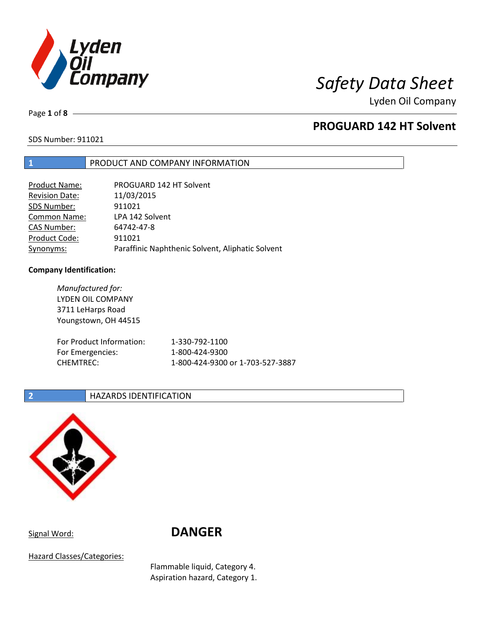

Page **1** of **8**

## **PROGUARD 142 HT Solvent**

SDS Number: 911021

### **1** PRODUCT AND COMPANY INFORMATION

| <b>Product Name:</b>  | PROGUARD 142 HT Solvent                          |
|-----------------------|--------------------------------------------------|
| <b>Revision Date:</b> | 11/03/2015                                       |
| SDS Number:           | 911021                                           |
| Common Name:          | LPA 142 Solvent                                  |
| <b>CAS Number:</b>    | 64742-47-8                                       |
| Product Code:         | 911021                                           |
| Synonyms:             | Paraffinic Naphthenic Solvent, Aliphatic Solvent |

### **Company Identification:**

| Manufactured for:        |                                  |
|--------------------------|----------------------------------|
| LYDEN OIL COMPANY        |                                  |
| 3711 LeHarps Road        |                                  |
| Youngstown, OH 44515     |                                  |
|                          |                                  |
| For Product Information: | 1-330-792-1100                   |
| For Emergencies:         | 1-800-424-9300                   |
| <b>CHEMTREC:</b>         | 1-800-424-9300 or 1-703-527-3887 |
|                          |                                  |

### **2 HAZARDS IDENTIFICATION**



Signal Word: **DANGER**

Hazard Classes/Categories:

Flammable liquid, Category 4. Aspiration hazard, Category 1.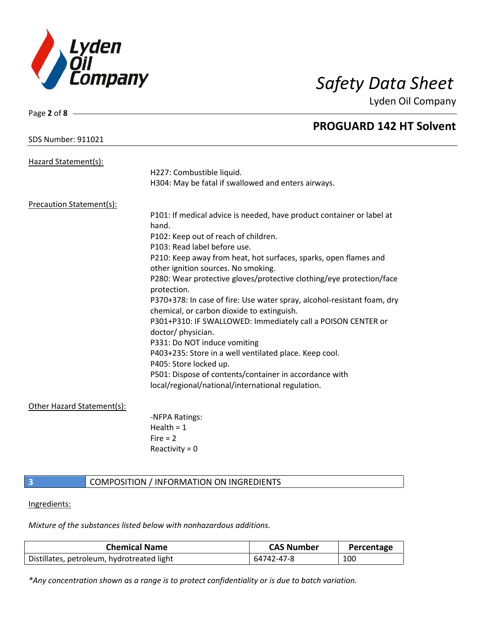

| Page $2$ of $8 -$               |                                                                                     |
|---------------------------------|-------------------------------------------------------------------------------------|
|                                 | <b>PROGUARD 142 HT Solvent</b>                                                      |
| <b>SDS Number: 911021</b>       |                                                                                     |
|                                 |                                                                                     |
| Hazard Statement(s):            | H227: Combustible liquid.                                                           |
|                                 | H304: May be fatal if swallowed and enters airways.                                 |
|                                 |                                                                                     |
| <b>Precaution Statement(s):</b> | P101: If medical advice is needed, have product container or label at               |
|                                 | hand.                                                                               |
|                                 | P102: Keep out of reach of children.                                                |
|                                 | P103: Read label before use.                                                        |
|                                 | P210: Keep away from heat, hot surfaces, sparks, open flames and                    |
|                                 | other ignition sources. No smoking.                                                 |
|                                 | P280: Wear protective gloves/protective clothing/eye protection/face<br>protection. |
|                                 | P370+378: In case of fire: Use water spray, alcohol-resistant foam, dry             |
|                                 | chemical, or carbon dioxide to extinguish.                                          |
|                                 | P301+P310: IF SWALLOWED: Immediately call a POISON CENTER or                        |
|                                 | doctor/physician.                                                                   |
|                                 | P331: Do NOT induce vomiting                                                        |
|                                 | P403+235: Store in a well ventilated place. Keep cool.                              |
|                                 | P405: Store locked up.                                                              |
|                                 | P501: Dispose of contents/container in accordance with                              |
|                                 | local/regional/national/international regulation.                                   |
| Other Hazard Statement(s):      |                                                                                     |
|                                 | -NFPA Ratings:                                                                      |
|                                 | Health = $1$                                                                        |
|                                 | $Fire = 2$                                                                          |
|                                 | Reactivity = $0$                                                                    |
|                                 |                                                                                     |
| $\overline{\mathbf{3}}$         | <b>COMPOSITION / INFORMATION ON INGREDIENTS</b>                                     |

### Ingredients:

*Mixture of the substances listed below with nonhazardous additions.*

| <b>Chemical Name</b>                       | <b>CAS Number</b> | Percentage |
|--------------------------------------------|-------------------|------------|
| Distillates, petroleum, hydrotreated light | 64742-47-8        | 100        |

*\*Any concentration shown as a range is to protect confidentiality or is due to batch variation.*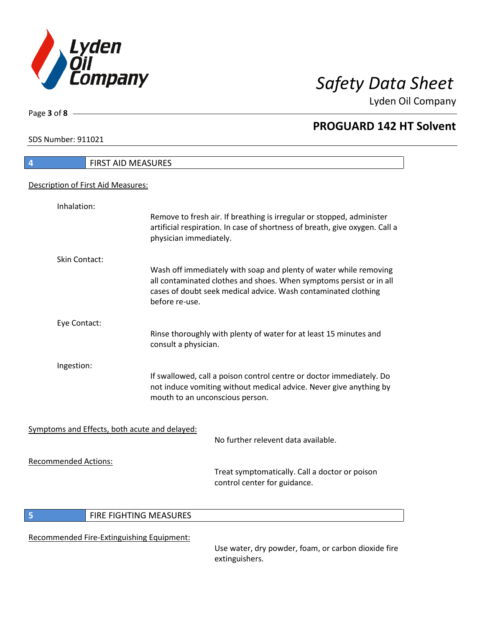

Lyden Oil Company

SDS Number: 911021

Page **3** of **8**

| 4                                             | <b>FIRST AID MEASURES</b>                                                                                                                                                                                                    |  |  |
|-----------------------------------------------|------------------------------------------------------------------------------------------------------------------------------------------------------------------------------------------------------------------------------|--|--|
| Description of First Aid Measures:            |                                                                                                                                                                                                                              |  |  |
|                                               |                                                                                                                                                                                                                              |  |  |
| Inhalation:                                   |                                                                                                                                                                                                                              |  |  |
|                                               | Remove to fresh air. If breathing is irregular or stopped, administer<br>artificial respiration. In case of shortness of breath, give oxygen. Call a<br>physician immediately.                                               |  |  |
| Skin Contact:                                 |                                                                                                                                                                                                                              |  |  |
|                                               | Wash off immediately with soap and plenty of water while removing<br>all contaminated clothes and shoes. When symptoms persist or in all<br>cases of doubt seek medical advice. Wash contaminated clothing<br>before re-use. |  |  |
| Eye Contact:                                  |                                                                                                                                                                                                                              |  |  |
|                                               | Rinse thoroughly with plenty of water for at least 15 minutes and<br>consult a physician.                                                                                                                                    |  |  |
| Ingestion:                                    |                                                                                                                                                                                                                              |  |  |
|                                               | If swallowed, call a poison control centre or doctor immediately. Do                                                                                                                                                         |  |  |
|                                               | not induce vomiting without medical advice. Never give anything by<br>mouth to an unconscious person.                                                                                                                        |  |  |
|                                               |                                                                                                                                                                                                                              |  |  |
| Symptoms and Effects, both acute and delayed: | No further relevent data available.                                                                                                                                                                                          |  |  |
| <b>Recommended Actions:</b>                   |                                                                                                                                                                                                                              |  |  |
|                                               | Treat symptomatically. Call a doctor or poison<br>control center for guidance.                                                                                                                                               |  |  |
| 5                                             | FIRE FIGHTING MEASURES                                                                                                                                                                                                       |  |  |
|                                               |                                                                                                                                                                                                                              |  |  |
| Recommended Fire-Extinguishing Equipment:     |                                                                                                                                                                                                                              |  |  |

Use water, dry powder, foam, or carbon dioxide fire extinguishers.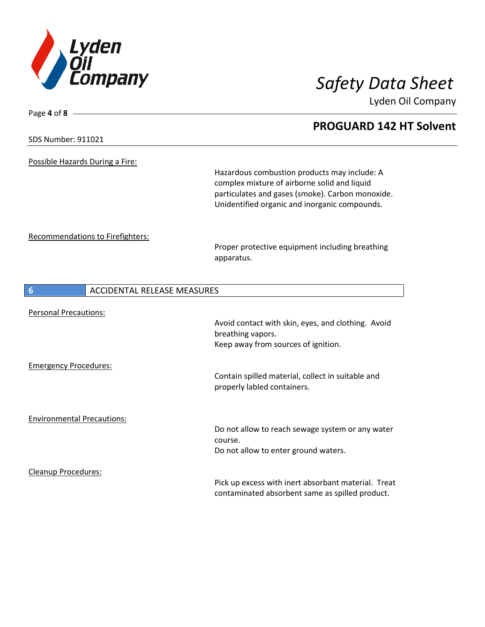

Lyden Oil Company

### SDS Number: 911021

Page **4** of **8**

Possible Hazards During a Fire:

Hazardous combustion products may include: A complex mixture of airborne solid and liquid particulates and gases (smoke). Carbon monoxide. Unidentified organic and inorganic compounds.

Recommendations to Firefighters:

Proper protective equipment including breathing apparatus.

| 6                                 | <b>ACCIDENTAL RELEASE MEASURES</b> |                                                                                                                |
|-----------------------------------|------------------------------------|----------------------------------------------------------------------------------------------------------------|
| <b>Personal Precautions:</b>      |                                    |                                                                                                                |
|                                   |                                    | Avoid contact with skin, eyes, and clothing. Avoid<br>breathing vapors.<br>Keep away from sources of ignition. |
| <b>Emergency Procedures:</b>      |                                    | Contain spilled material, collect in suitable and<br>properly labled containers.                               |
| <b>Environmental Precautions:</b> |                                    | Do not allow to reach sewage system or any water<br>course.<br>Do not allow to enter ground waters.            |
| <b>Cleanup Procedures:</b>        |                                    | Pick up excess with inert absorbant material. Treat<br>contaminated absorbent same as spilled product.         |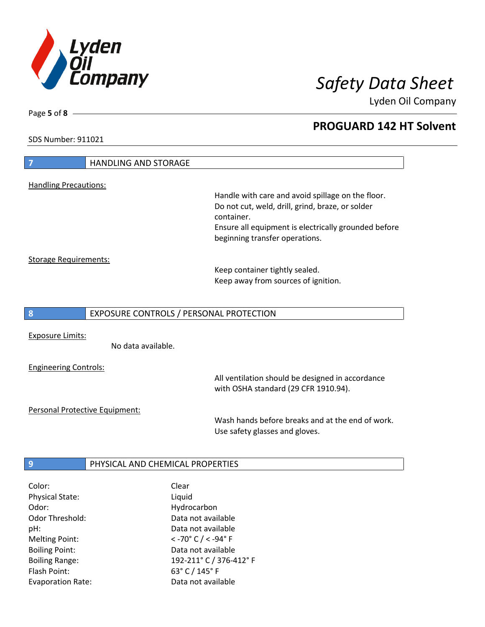

Lyden Oil Company

SDS Number: 911021

Page **5** of **8**

| 7                            | <b>HANDLING AND STORAGE</b>                                                                           |  |
|------------------------------|-------------------------------------------------------------------------------------------------------|--|
|                              |                                                                                                       |  |
| <b>Handling Precautions:</b> |                                                                                                       |  |
|                              | Handle with care and avoid spillage on the floor.<br>Do not cut, weld, drill, grind, braze, or solder |  |
|                              | container.                                                                                            |  |
|                              | Ensure all equipment is electrically grounded before                                                  |  |
|                              | beginning transfer operations.                                                                        |  |
| <b>Storage Requirements:</b> |                                                                                                       |  |
|                              | Keep container tightly sealed.                                                                        |  |
|                              | Keep away from sources of ignition.                                                                   |  |
|                              |                                                                                                       |  |
|                              |                                                                                                       |  |
| 8                            | EXPOSURE CONTROLS / PERSONAL PROTECTION                                                               |  |
|                              |                                                                                                       |  |
| <b>Exposure Limits:</b>      | No data available.                                                                                    |  |
|                              |                                                                                                       |  |
| <b>Engineering Controls:</b> |                                                                                                       |  |
|                              | All ventilation should be designed in accordance                                                      |  |
|                              | with OSHA standard (29 CFR 1910.94).                                                                  |  |
|                              | Personal Protective Equipment:                                                                        |  |
|                              | Wash hands before breaks and at the end of work.                                                      |  |
|                              | Use safety glasses and gloves.                                                                        |  |
|                              |                                                                                                       |  |
| 9                            | PHYSICAL AND CHEMICAL PROPERTIES                                                                      |  |

| Clear                                       |
|---------------------------------------------|
| Liquid                                      |
| Hydrocarbon                                 |
| Data not available                          |
| Data not available                          |
| $<$ -70 $^{\circ}$ C / $<$ -94 $^{\circ}$ F |
| Data not available                          |
| 192-211°C / 376-412°F                       |
| 63° C / 145° F                              |
| Data not available                          |
|                                             |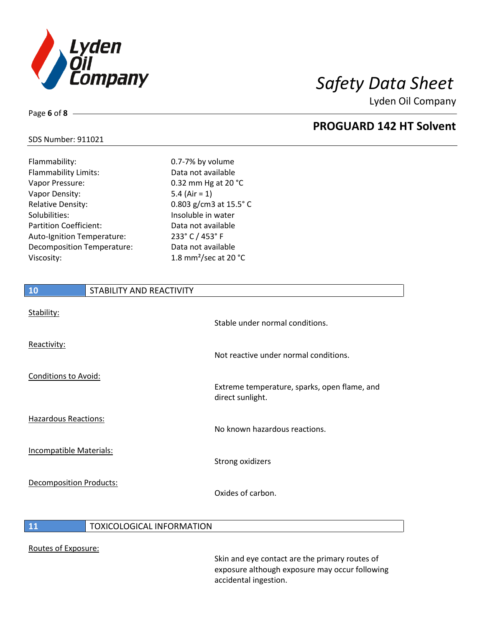

Lyden Oil Company

### SDS Number: 911021

Page **6** of **8**

| Flammability:                 | 0.7-7% by volume                            |
|-------------------------------|---------------------------------------------|
| <b>Flammability Limits:</b>   | Data not available                          |
| Vapor Pressure:               | 0.32 mm Hg at 20 °C                         |
| Vapor Density:                | 5.4 (Air = $1$ )                            |
| <b>Relative Density:</b>      | 0.803 g/cm3 at $15.5^{\circ}$ C             |
| Solubilities:                 | Insoluble in water                          |
| <b>Partition Coefficient:</b> | Data not available                          |
| Auto-Ignition Temperature:    | 233° C / 453° F                             |
| Decomposition Temperature:    | Data not available                          |
| Viscosity:                    | 1.8 mm <sup>2</sup> /sec at 20 $^{\circ}$ C |
|                               |                                             |

# **10** STABILITY AND REACTIVITY Stability: Stable under normal conditions. Reactivity: Not reactive under normal conditions. Conditions to Avoid: Extreme temperature, sparks, open flame, and direct sunlight. Hazardous Reactions: No known hazardous reactions. Incompatible Materials: Strong oxidizers Decomposition Products: Oxides of carbon.

### **11 TOXICOLOGICAL INFORMATION**

### Routes of Exposure:

Skin and eye contact are the primary routes of exposure although exposure may occur following accidental ingestion.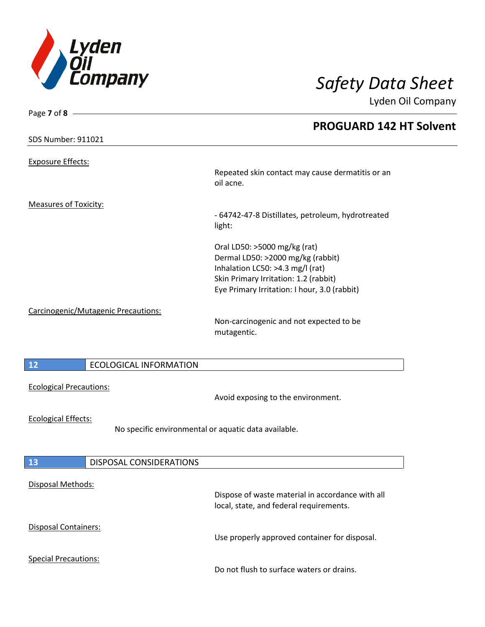

| Page 7 of 8 -                                        |                                                                                             |
|------------------------------------------------------|---------------------------------------------------------------------------------------------|
|                                                      | <b>PROGUARD 142 HT Solvent</b>                                                              |
| <b>SDS Number: 911021</b>                            |                                                                                             |
| <b>Exposure Effects:</b>                             |                                                                                             |
|                                                      | Repeated skin contact may cause dermatitis or an<br>oil acne.                               |
| <b>Measures of Toxicity:</b>                         |                                                                                             |
|                                                      | - 64742-47-8 Distillates, petroleum, hydrotreated<br>light:                                 |
|                                                      | Oral LD50: >5000 mg/kg (rat)<br>Dermal LD50: >2000 mg/kg (rabbit)                           |
|                                                      | Inhalation LC50: >4.3 mg/l (rat)                                                            |
|                                                      | Skin Primary Irritation: 1.2 (rabbit)                                                       |
|                                                      | Eye Primary Irritation: I hour, 3.0 (rabbit)                                                |
| Carcinogenic/Mutagenic Precautions:                  | Non-carcinogenic and not expected to be                                                     |
|                                                      | mutagentic.                                                                                 |
|                                                      |                                                                                             |
|                                                      |                                                                                             |
| 12<br><b>ECOLOGICAL INFORMATION</b>                  |                                                                                             |
|                                                      |                                                                                             |
| <b>Ecological Precautions:</b>                       |                                                                                             |
|                                                      | Avoid exposing to the environment.                                                          |
| <b>Ecological Effects:</b>                           |                                                                                             |
| No specific environmental or aquatic data available. |                                                                                             |
|                                                      |                                                                                             |
|                                                      |                                                                                             |
| 13<br>DISPOSAL CONSIDERATIONS                        |                                                                                             |
|                                                      |                                                                                             |
| Disposal Methods:                                    |                                                                                             |
|                                                      | Dispose of waste material in accordance with all<br>local, state, and federal requirements. |
|                                                      |                                                                                             |
| Disposal Containers:                                 |                                                                                             |
|                                                      | Use properly approved container for disposal.                                               |
|                                                      |                                                                                             |
| <b>Special Precautions:</b>                          |                                                                                             |
|                                                      | Do not flush to surface waters or drains.                                                   |
|                                                      |                                                                                             |